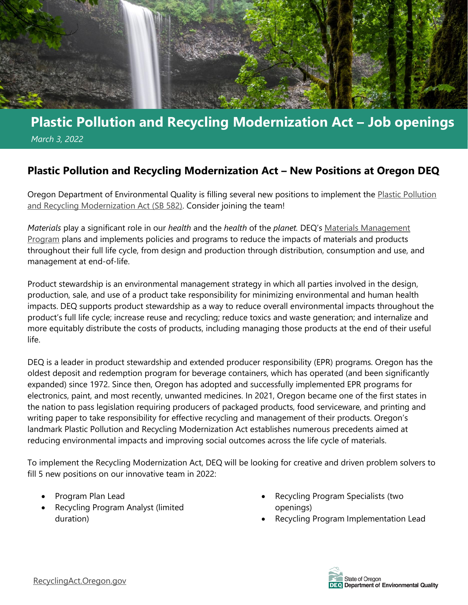

# **Plastic Pollution and Recycling Modernization Act – Job openings**   *March 3, 2022*

### **Plastic Pollution and Recycling Modernization Act – New Positions at Oregon DEQ**

Oregon Department of Environmental Quality is filling several new positions to implement the [Plastic Pollution](http://recyclingact.oregon.gov/)  [and Recycling Modernization Act \(SB 582\).](http://recyclingact.oregon.gov/) Consider joining the team!

*Materials* play a significant role in our *health* and the *health* of the *planet.* DEQ's [Materials Management](https://www.oregon.gov/deq/mm/Pages/default.aspx)  [Program](https://www.oregon.gov/deq/mm/Pages/default.aspx) plans and implements policies and programs to reduce the impacts of materials and products throughout their full life cycle, from design and production through distribution, consumption and use, and management at end-of-life.

Product stewardship is an environmental management strategy in which all parties involved in the design, production, sale, and use of a product take responsibility for minimizing environmental and human health impacts. DEQ supports product stewardship as a way to reduce overall environmental impacts throughout the product's full life cycle; increase reuse and recycling; reduce toxics and waste generation; and internalize and more equitably distribute the costs of products, including managing those products at the end of their useful life.

DEQ is a leader in product stewardship and extended producer responsibility (EPR) programs. Oregon has the oldest deposit and redemption program for beverage containers, which has operated (and been significantly expanded) since 1972. Since then, Oregon has adopted and successfully implemented EPR programs for electronics, paint, and most recently, unwanted medicines. In 2021, Oregon became one of the first states in the nation to pass legislation requiring producers of packaged products, food serviceware, and printing and writing paper to take responsibility for effective recycling and management of their products. Oregon's landmark Plastic Pollution and Recycling Modernization Act establishes numerous precedents aimed at reducing environmental impacts and improving social outcomes across the life cycle of materials.

To implement the Recycling Modernization Act, DEQ will be looking for creative and driven problem solvers to fill 5 new positions on our innovative team in 2022:

- Program Plan Lead
- Recycling Program Analyst (limited duration)
- Recycling Program Specialists (two openings)
- Recycling Program Implementation Lead

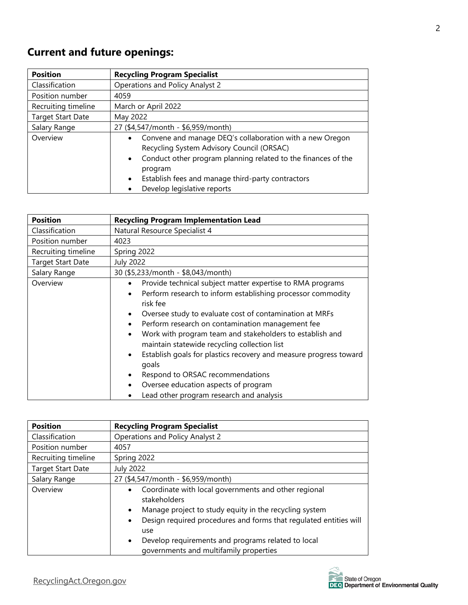## **Current and future openings:**

| <b>Position</b>          | <b>Recycling Program Specialist</b>                                                                                                                                                                                                                                                                            |
|--------------------------|----------------------------------------------------------------------------------------------------------------------------------------------------------------------------------------------------------------------------------------------------------------------------------------------------------------|
| Classification           | Operations and Policy Analyst 2                                                                                                                                                                                                                                                                                |
| Position number          | 4059                                                                                                                                                                                                                                                                                                           |
| Recruiting timeline      | March or April 2022                                                                                                                                                                                                                                                                                            |
| <b>Target Start Date</b> | May 2022                                                                                                                                                                                                                                                                                                       |
| Salary Range             | 27 (\$4,547/month - \$6,959/month)                                                                                                                                                                                                                                                                             |
| Overview                 | Convene and manage DEQ's collaboration with a new Oregon<br>$\bullet$<br>Recycling System Advisory Council (ORSAC)<br>• Conduct other program planning related to the finances of the<br>program<br>Establish fees and manage third-party contractors<br>$\bullet$<br>Develop legislative reports<br>$\bullet$ |

| <b>Position</b>          | <b>Recycling Program Implementation Lead</b>                                                                                                                                                                                                                                                                                                                                                                                                                                                                                                                                                                                                                                                |
|--------------------------|---------------------------------------------------------------------------------------------------------------------------------------------------------------------------------------------------------------------------------------------------------------------------------------------------------------------------------------------------------------------------------------------------------------------------------------------------------------------------------------------------------------------------------------------------------------------------------------------------------------------------------------------------------------------------------------------|
| <b>Classification</b>    | Natural Resource Specialist 4                                                                                                                                                                                                                                                                                                                                                                                                                                                                                                                                                                                                                                                               |
| Position number          | 4023                                                                                                                                                                                                                                                                                                                                                                                                                                                                                                                                                                                                                                                                                        |
| Recruiting timeline      | Spring 2022                                                                                                                                                                                                                                                                                                                                                                                                                                                                                                                                                                                                                                                                                 |
| <b>Target Start Date</b> | <b>July 2022</b>                                                                                                                                                                                                                                                                                                                                                                                                                                                                                                                                                                                                                                                                            |
| Salary Range             | 30 (\$5,233/month - \$8,043/month)                                                                                                                                                                                                                                                                                                                                                                                                                                                                                                                                                                                                                                                          |
| Overview                 | Provide technical subject matter expertise to RMA programs<br>$\bullet$<br>Perform research to inform establishing processor commodity<br>$\bullet$<br>risk fee<br>Oversee study to evaluate cost of contamination at MRFs<br>$\bullet$<br>Perform research on contamination management fee<br>$\bullet$<br>Work with program team and stakeholders to establish and<br>$\bullet$<br>maintain statewide recycling collection list<br>Establish goals for plastics recovery and measure progress toward<br>$\bullet$<br>goals<br>Respond to ORSAC recommendations<br>$\bullet$<br>Oversee education aspects of program<br>$\bullet$<br>Lead other program research and analysis<br>$\bullet$ |

| <b>Position</b>          | <b>Recycling Program Specialist</b>                                                                                                                                                                                                                                                                                                                            |
|--------------------------|----------------------------------------------------------------------------------------------------------------------------------------------------------------------------------------------------------------------------------------------------------------------------------------------------------------------------------------------------------------|
| Classification           | Operations and Policy Analyst 2                                                                                                                                                                                                                                                                                                                                |
| Position number          | 4057                                                                                                                                                                                                                                                                                                                                                           |
| Recruiting timeline      | Spring 2022                                                                                                                                                                                                                                                                                                                                                    |
| <b>Target Start Date</b> | <b>July 2022</b>                                                                                                                                                                                                                                                                                                                                               |
| Salary Range             | 27 (\$4,547/month - \$6,959/month)                                                                                                                                                                                                                                                                                                                             |
| Overview                 | Coordinate with local governments and other regional<br>$\bullet$<br>stakeholders<br>Manage project to study equity in the recycling system<br>$\bullet$<br>Design required procedures and forms that regulated entities will<br>$\bullet$<br>use<br>Develop requirements and programs related to local<br>$\bullet$<br>governments and multifamily properties |